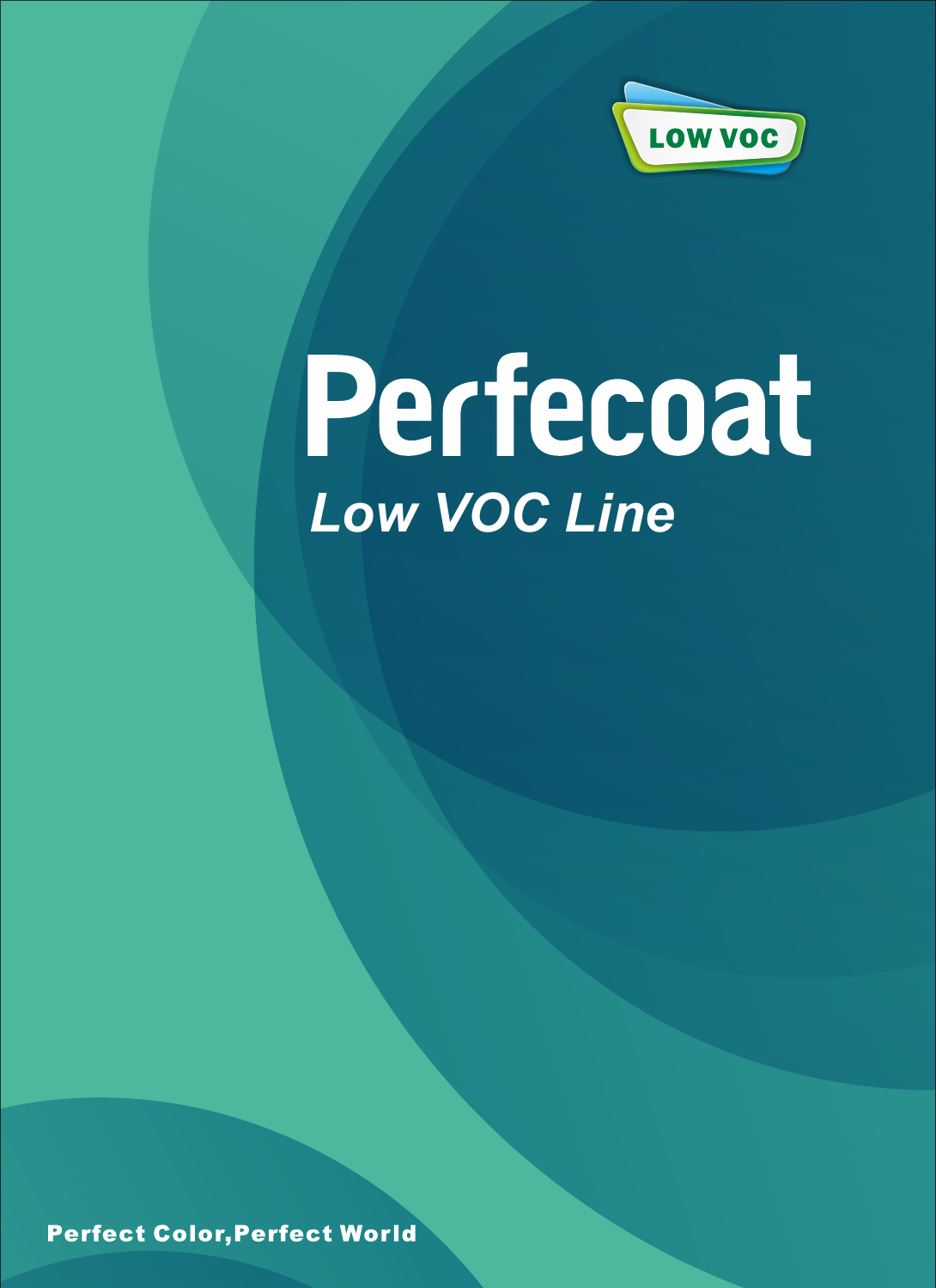

# Perfecoat *Low VOC Line*

**Perfect Color, Perfect World**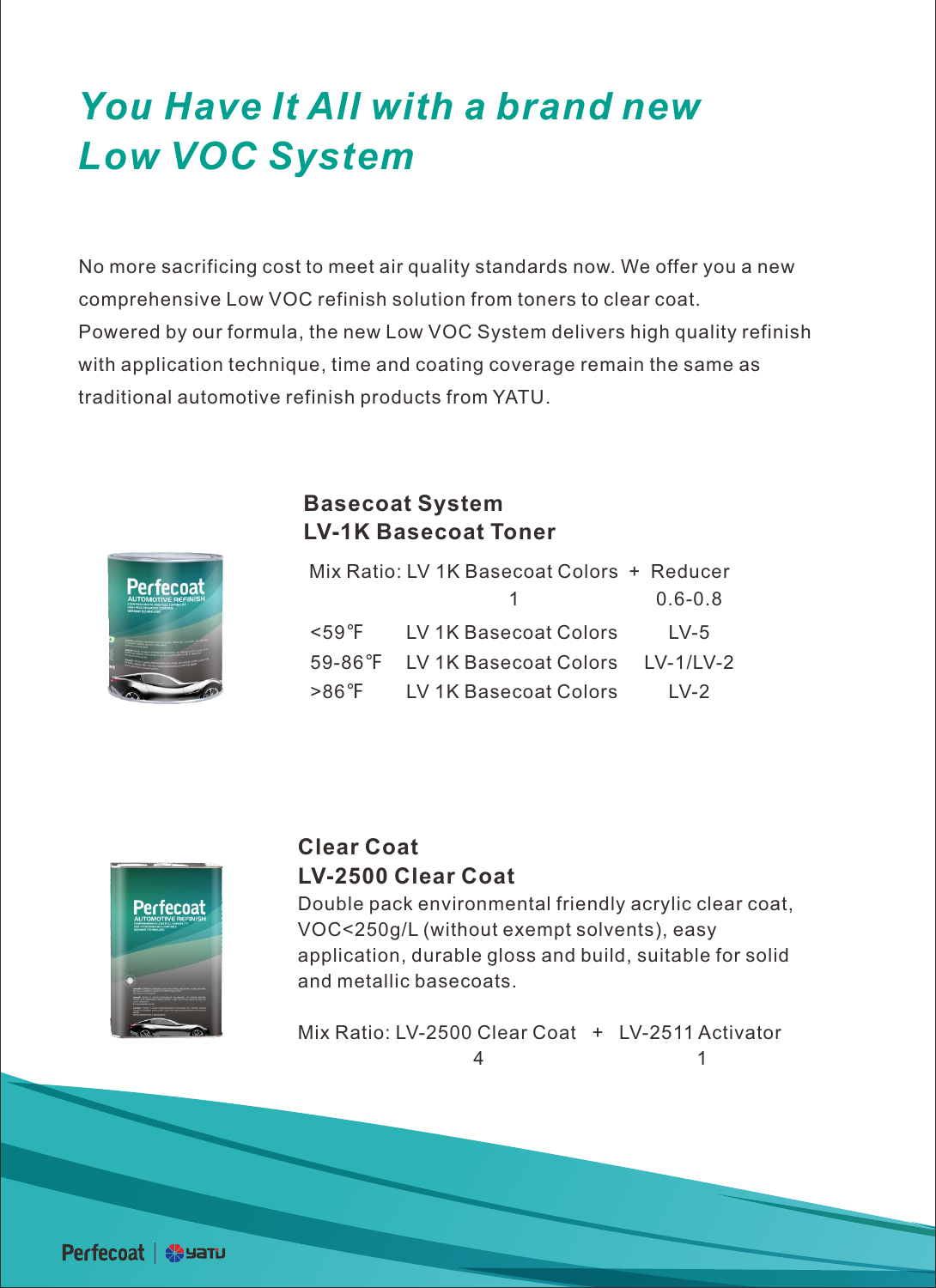## *You Have It All with a brand new Low VOC System*

No more sacrificing cost to meet air quality standards now. We offer you a new comprehensive Low VOC refinish solution from toners to clear coat. Powered by our formula, the new Low VOC System delivers high quality refinish with application technique, time and coating coverage remain the same as traditional automotive refinish products from YATU.



#### **Basecoat System LV-1K Basecoat Toner**

|  | Mix Ratio: LV 1K Basecoat Colors + Reducer |             |
|--|--------------------------------------------|-------------|
|  |                                            | $0.6 - 0.8$ |
|  | <59°F LV 1K Basecoat Colors                | $1 V-5$     |
|  | 59-86°F LV 1K Basecoat Colors LV-1/LV-2    |             |
|  | >86°F LV 1K Basecoat Colors                | $1 V-2$     |



#### **Clear Coat LV-2500 Clear Coat**

Double pack environmental friendly acrylic clear coat, VOC<250g/L (without exempt solvents), easy application, durable gloss and build, suitable for solid and metallic basecoats.

Mix Ratio: LV-2500 Clear Coat + LV-2511 Activator 4 1

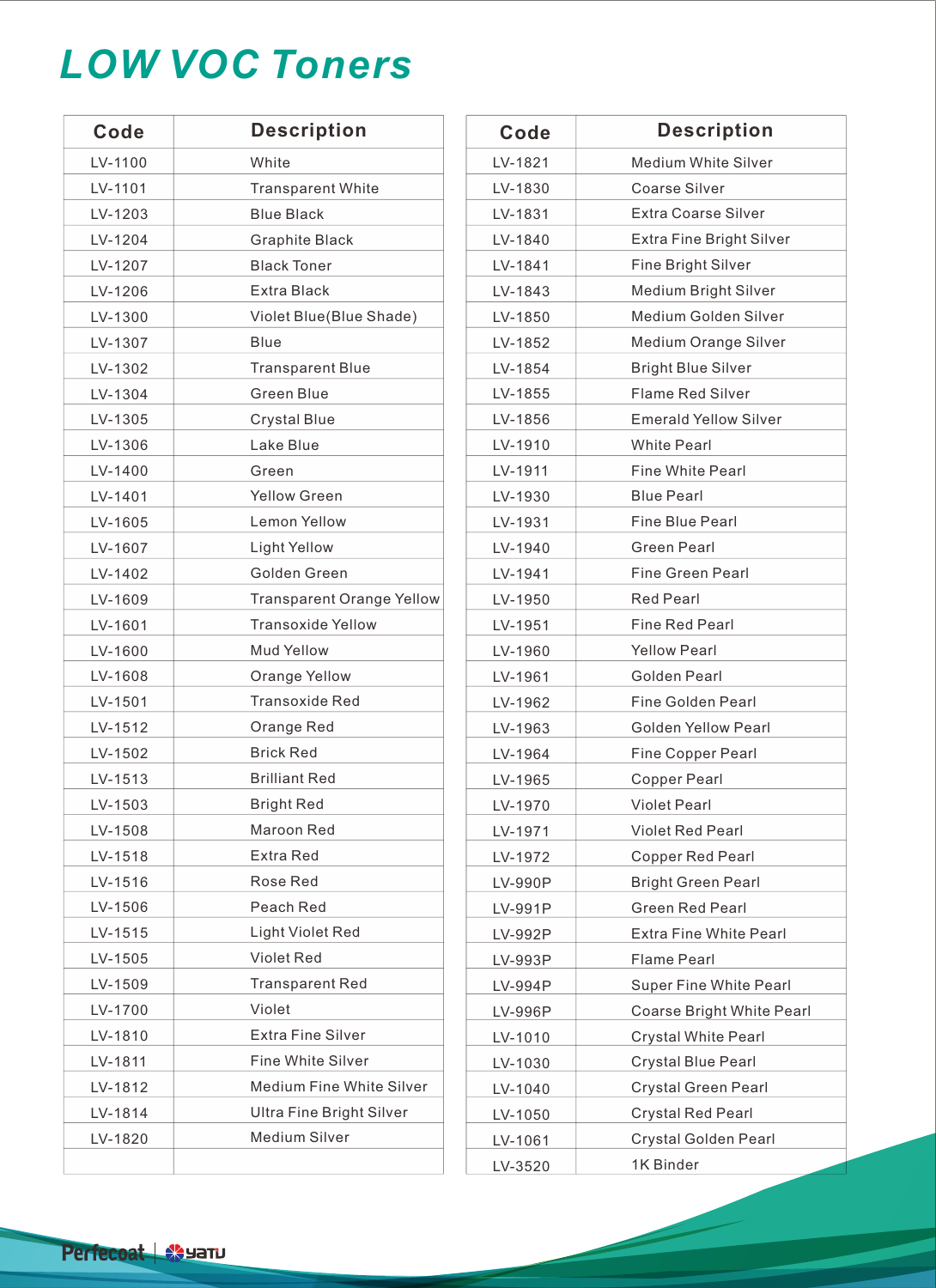## *LOW VOC Toners*

| Code    | <b>Description</b>               | Code    | <b>Description</b>          |
|---------|----------------------------------|---------|-----------------------------|
| LV-1100 | White                            | LV-1821 | <b>Medium White Silver</b>  |
| LV-1101 | <b>Transparent White</b>         | LV-1830 | <b>Coarse Silver</b>        |
| LV-1203 | <b>Blue Black</b>                | LV-1831 | Extra Coarse Silver         |
| LV-1204 | Graphite Black                   | LV-1840 | Extra Fine Bright Silv      |
| LV-1207 | <b>Black Toner</b>               | LV-1841 | Fine Bright Silver          |
| LV-1206 | Extra Black                      | LV-1843 | Medium Bright Silver        |
| LV-1300 | Violet Blue(Blue Shade)          | LV-1850 | Medium Golden Silvo         |
| LV-1307 | Blue                             | LV-1852 | Medium Orange Silv          |
| LV-1302 | <b>Transparent Blue</b>          | LV-1854 | <b>Bright Blue Silver</b>   |
| LV-1304 | <b>Green Blue</b>                | LV-1855 | <b>Flame Red Silver</b>     |
| LV-1305 | <b>Crystal Blue</b>              | LV-1856 | <b>Emerald Yellow Silve</b> |
| LV-1306 | Lake Blue                        | LV-1910 | <b>White Pearl</b>          |
| LV-1400 | Green                            | LV-1911 | <b>Fine White Pearl</b>     |
| LV-1401 | <b>Yellow Green</b>              | LV-1930 | <b>Blue Pearl</b>           |
| LV-1605 | Lemon Yellow                     | LV-1931 | Fine Blue Pearl             |
| LV-1607 | <b>Light Yellow</b>              | LV-1940 | <b>Green Pearl</b>          |
| LV-1402 | Golden Green                     | LV-1941 | <b>Fine Green Pearl</b>     |
| LV-1609 | <b>Transparent Orange Yellow</b> | LV-1950 | <b>Red Pearl</b>            |
| LV-1601 | <b>Transoxide Yellow</b>         | LV-1951 | <b>Fine Red Pearl</b>       |
| LV-1600 | <b>Mud Yellow</b>                | LV-1960 | <b>Yellow Pearl</b>         |
| LV-1608 | Orange Yellow                    | LV-1961 | Golden Pearl                |
| LV-1501 | <b>Transoxide Red</b>            | LV-1962 | <b>Fine Golden Pearl</b>    |
| LV-1512 | Orange Red                       | LV-1963 | <b>Golden Yellow Pearl</b>  |
| LV-1502 | <b>Brick Red</b>                 | LV-1964 | Fine Copper Pearl           |
| LV-1513 | <b>Brilliant Red</b>             | LV-1965 | <b>Copper Pearl</b>         |
| LV-1503 | <b>Bright Red</b>                | LV-1970 | <b>Violet Pearl</b>         |
| LV-1508 | Maroon Red                       | LV-1971 | Violet Red Pearl            |
| LV-1518 | Extra Red                        | LV-1972 | Copper Red Pearl            |
| LV-1516 | Rose Red                         | LV-990P | <b>Bright Green Pearl</b>   |
| LV-1506 | Peach Red                        | LV-991P | <b>Green Red Pearl</b>      |
| LV-1515 | Light Violet Red                 | LV-992P | Extra Fine White Pea        |
| LV-1505 | Violet Red                       | LV-993P | <b>Flame Pearl</b>          |
| LV-1509 | <b>Transparent Red</b>           | LV-994P | Super Fine White Pe         |
| LV-1700 | Violet                           | LV-996P | Coarse Bright White         |
| LV-1810 | Extra Fine Silver                | LV-1010 | <b>Crystal White Pearl</b>  |
| LV-1811 | Fine White Silver                | LV-1030 | <b>Crystal Blue Pearl</b>   |
| LV-1812 | Medium Fine White Silver         | LV-1040 | Crystal Green Pearl         |
| LV-1814 | <b>Ultra Fine Bright Silver</b>  | LV-1050 | Crystal Red Pearl           |
| LV-1820 | Medium Silver                    | LV-1061 | Crystal Golden Pear         |
|         |                                  |         |                             |

| Code    | <b>Description</b>            |
|---------|-------------------------------|
| LV-1821 | <b>Medium White Silver</b>    |
| LV-1830 | Coarse Silver                 |
| LV-1831 | Extra Coarse Silver           |
| LV-1840 | Extra Fine Bright Silver      |
| LV-1841 | <b>Fine Bright Silver</b>     |
| LV-1843 | Medium Bright Silver          |
| LV-1850 | Medium Golden Silver          |
| LV-1852 | Medium Orange Silver          |
| LV-1854 | <b>Bright Blue Silver</b>     |
| LV-1855 | Flame Red Silver              |
| LV-1856 | <b>Emerald Yellow Silver</b>  |
| LV-1910 | <b>White Pearl</b>            |
| LV-1911 | <b>Fine White Pearl</b>       |
| LV-1930 | <b>Blue Pearl</b>             |
| LV-1931 | Fine Blue Pearl               |
| LV-1940 | <b>Green Pearl</b>            |
| LV-1941 | <b>Fine Green Pearl</b>       |
| LV-1950 | <b>Red Pearl</b>              |
| LV-1951 | <b>Fine Red Pearl</b>         |
| LV-1960 | <b>Yellow Pearl</b>           |
| LV-1961 | Golden Pearl                  |
| LV-1962 | Fine Golden Pearl             |
| LV-1963 | <b>Golden Yellow Pearl</b>    |
| LV-1964 | <b>Fine Copper Pearl</b>      |
| LV-1965 | <b>Copper Pearl</b>           |
| LV-1970 | <b>Violet Pearl</b>           |
| LV-1971 | <b>Violet Red Pearl</b>       |
| LV-1972 | <b>Copper Red Pearl</b>       |
| LV-990P | <b>Bright Green Pearl</b>     |
| LV-991P | <b>Green Red Pearl</b>        |
| LV-992P | <b>Extra Fine White Pearl</b> |
| LV-993P | <b>Flame Pearl</b>            |
| LV-994P | Super Fine White Pearl        |
| LV-996P | Coarse Bright White Pearl     |
| LV-1010 | <b>Crystal White Pearl</b>    |
| LV-1030 | Crystal Blue Pearl            |
| LV-1040 | Crystal Green Pearl           |
| LV-1050 | <b>Crystal Red Pearl</b>      |
| LV-1061 | Crystal Golden Pearl          |
| LV-3520 | 1K Binder                     |